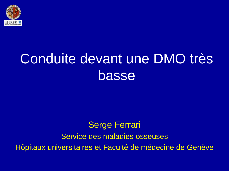

# Conduite devant une DMO très basse

### Serge Ferrari Service des maladies osseuses Hôpitaux universitaires et Faculté de médecine de Genève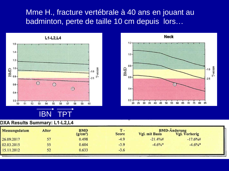#### Mme H., fracture vertébrale à 40 ans en jouant au badminton, perte de taille 10 cm depuis lors…





#### DXA Results Summary: L1-L2,L4

| Messungsdatum | <b>Alter</b> | <b>BMD</b>           | $T -$        | <b>BMD-Änderung</b>   |               |  |
|---------------|--------------|----------------------|--------------|-----------------------|---------------|--|
|               |              | (g/cm <sup>2</sup> ) | <b>Score</b> | <b>Vgl. mit Basis</b> | Vgl. Vorherig |  |
| 26.09.2017    | 57           | 0.498                | $-4.9$       | $-21.4\%$ #           | $-17.6\%$ #   |  |
| 02.03.2015    | 55           | 0.604                | $-3.9$       | $-4.6\%$ *            | $-4.6\%$ *    |  |
| 15.11.2012    | 52           | 0.633                | $-3.6$       |                       |               |  |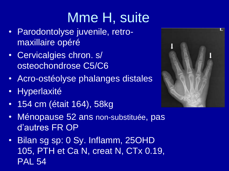# Mme H, suite

- Parodontolyse juvenile, retromaxillaire opéré
- Cervicalgies chron. s/ osteochondrose C5/C6
- Acro-ostéolyse phalanges distales
- Hyperlaxité
- 154 cm (était 164), 58kg



• Bilan sg sp: 0 Sy. Inflamm, 25OHD 105, PTH et Ca N, creat N, CTx 0.19, PAL 54

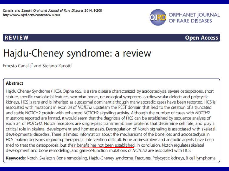Canalis and Zanotti Orphanet Journal of Rare Diseases 2014, 9:200 http://www.ojrd.com/content/9/1/200



#### **REVIEW**

#### **Open Access**

## Hajdu-Cheney syndrome: a review

Emesto Canalis<sup>\*</sup> and Stefano Zanotti

#### **Abstract**

Hajdu Cheney Syndrome (HCS), Orpha 955, is a rare disease characterized by acroosteolysis, severe osteoporosis, short stature, specific craniofacial features, wormian bones, neurological symptoms, cardiovascular defects and polycystic kidneys. HCS is rare and is inherited as autosomal dominant although many sporadic cases have been reported. HCS is associated with mutations in exon 34 of NOTCH2 upstream the PEST domain that lead to the creation of a truncated and stable NOTCH2 protein with enhanced NOTCH2 signaling activity. Although the number of cases with NOTCH2 mutations reported are limited, it would seem that the diagnosis of HCS can be established by sequence analysis of exon 34 of NOTCH2. Notch receptors are single-pass transmembrane proteins that determine cell fate, and play a critical role in skeletal development and homeostasis. Dysregulation of Notch signaling is associated with skeletal developmental disorders. There is limited information about the mechanisms of the bone loss and acroosteolysis in HCS making decisions regarding therapeutic intervention difficult. Bone antiresorptive and anabolic agents have been tried to treat the osteoporosis, but their benefit has not been established. In conclusion, Notch regulates skeletal development and bone remodeling, and gain-of-function mutations of NOTCH2 are associated with HCS. Keywords: Notch, Skeleton, Bone remodeling, Hajdu-Cheney syndrome, Fractures, Polycystic kidneys, B cell lymphoma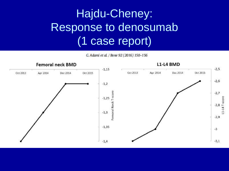## Hajdu-Cheney: Response to denosumab (1 case report)

G. Adami et al. / Bone 92 (2016) 150-156

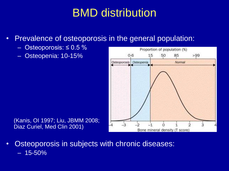## BMD distribution

- Prevalence of osteoporosis in the general population:
	- Osteoporosis:  $\leq 0.5$  %
	- Osteopenia: 10-15%



(Kanis, OI 1997; Liu, JBMM 2008; Diaz Curiel, Med Clin 2001)

• Osteoporosis in subjects with chronic diseases:  $-15 - 50%$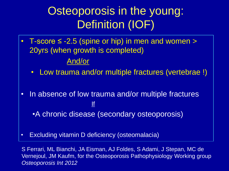## Osteoporosis in the young: Definition (IOF)

- T-score ≤ -2.5 (spine or hip) in men and women > 20yrs (when growth is completed) And/or
	- Low trauma and/or multiple fractures (vertebrae !)
- In absence of low trauma and/or multiple fractures If •A chronic disease (secondary osteoporosis)
- Excluding vitamin D deficiency (osteomalacia)

S Ferrari, ML Bianchi, JA Eisman, AJ Foldes, S Adami, J Stepan, MC de Vernejoul, JM Kaufm, for the Osteoporosis Pathophysiology Working group *Osteoporosis Int 2012*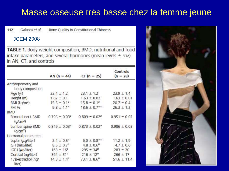### Masse osseuse très basse chez la femme jeune

Galusca et al. 112 Bone Quality in Constitutional Thinness

#### JCEM 2008

TABLE 1. Body weight composition, BMD, nutritional and food intake parameters, and several hormones (mean levels  $\pm$  sEM) in AN, CT, and controls

|                                           |                               |                               | Controls         |
|-------------------------------------------|-------------------------------|-------------------------------|------------------|
|                                           | AN $(n = 44)$                 | $CT (n = 25)$                 | $(n = 28)$       |
| Anthropometry and<br>body composition     |                               |                               |                  |
| Age (yr)                                  | $23.4 \pm 1.2$                | $23.1 \pm 1.2$                | $23.9 \pm 1.4$   |
| Height (m)                                | $1.62 \pm 0.1$                | $1.63 \pm 0.02$               | $1.63 \pm 0.01$  |
| $BM$ (kg/m <sup>2</sup> )                 | $15.5 \pm 0.1^a$              | $15.8 \pm 0.1^a$              | $20.7 \pm 0.4$   |
| FM %                                      | $9.8 \pm 1.1^2$               | $18.6 \pm 0.7^{a,b}$          | $26.3 \pm 1.2$   |
| <b>BMD</b>                                |                               |                               |                  |
| Femoral neck BMD<br>(q/cm <sup>2</sup> )  | $0.795 \pm 0.03^a$            | $0.809 \pm 0.02$ <sup>a</sup> | $0.951 \pm 0.02$ |
| Lumbar spine BMD<br>(q/cm <sup>2</sup> )  | $0.849 \pm 0.03$ <sup>a</sup> | $0.873 \pm 0.02^a$            | $0.986 \pm 0.03$ |
| Hormonal parameters                       |                               |                               |                  |
| Leptin $(\mu q$ /liter)                   | $2.4 \pm 0.5^2$               | $6.0 \pm 0.8^{a,b}$           | $11.2 \pm 1.9$   |
| GH (mIU/liter)                            | $8.5 \pm 0.7^a$               | $4.8 \pm 0.6^{p}$             | $4.7 \pm 0.6$    |
| $IGF-I$ ( $\mu$ g/liter)                  | $163 \pm 16^3$                | $295 \pm 34^{b}$              | $283 \pm 20$     |
| Cortisol (ng/liter)                       | $364 \pm 31^{a}$              | $216 \pm 12^{b}$              | $266 \pm 17$     |
| 17 <sub>B</sub> -estradiol (ng/<br>liter) | $14.3 \pm 1.4^a$              | $73.1 \pm 8.6^{b}$            | $51.6 \pm 11.4$  |

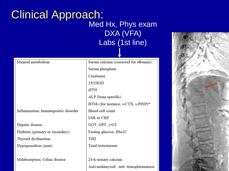### Clinical Approach: Med Hx, Phys exam DXA (VFA) Labs (1st line)

| Mineral metabolism                   | Serum calcium (corrected for albumin) |
|--------------------------------------|---------------------------------------|
|                                      | Serum phosphate                       |
|                                      | Creatinine                            |
|                                      | 25(OH)D                               |
|                                      | iPTH                                  |
|                                      | ALP (bone specific)                   |
|                                      | BTMs (for instance, s-CTX, s-PINP)*   |
| Inflammation, hematopoietic disorder | Blood cell count                      |
|                                      | <b>ESR</b> or CRP                     |
| Hepatic disease                      | GOT, GPT, $\gamma$ -GT                |
| Diabetes (primary or secondary)      | Fasting glucose, Hba1C                |
| Thyroid dysfunction                  | <b>TSH</b>                            |
| Hypogonadism (men)                   | <b>Total testosterone</b>             |
|                                      |                                       |
| Malabsorption, Celiac disease        | 24-h urinary calcium                  |

Anti-endomysial, anti-transglutaminase

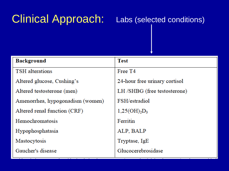## Clinical Approach: Labs (selected conditions)

| <b>Background</b>                | <b>Test</b>                   |
|----------------------------------|-------------------------------|
| <b>TSH</b> alterations           | Free T4                       |
| Altered glucose, Cushing's       | 24-hour free urinary cortisol |
| Altered testosterone (men)       | LH /SHBG (free testosterone)  |
| Amenorrhea, hypogonadism (women) | FSH/estradiol                 |
| Altered renal function (CRF)     | $1,25(OH)_{2}D_{3}$           |
| <b>Hemochromatosis</b>           | Ferritin                      |
| Hypophosphatasia                 | ALP, BALP                     |
| Mastocytosis                     | Tryptase, IgE                 |
| Gaucher's disease                | Glucocerebrosidase            |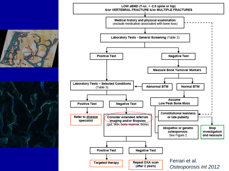

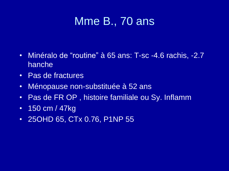## Mme B., 70 ans

- Minéralo de "routine" à 65 ans: T-sc -4.6 rachis, -2.7 hanche
- Pas de fractures
- Ménopause non-substituée à 52 ans
- Pas de FR OP , histoire familiale ou Sy. Inflamm
- 150 cm / 47 kg
- 25OHD 65, CTx 0.76, P1NP 55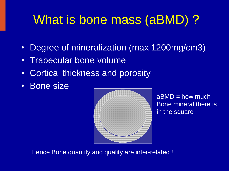## What is bone mass (aBMD) ?

- Degree of mineralization (max 1200mg/cm3)
- Trabecular bone volume
- Cortical thickness and porosity
- Bone size



 $aBMD = how much$ Bone mineral there is in the square

Hence Bone quantity and quality are inter-related !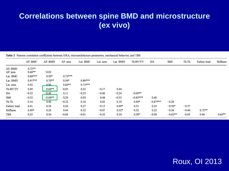### **Correlations between spine BMD and microstructure (ex vivo)**

|  |  |  |  |  | Table 2 Pearson correlation coefficients between DXA, microarchitecture parameters, mechanical behavior, and TBS |  |  |  |  |  |
|--|--|--|--|--|------------------------------------------------------------------------------------------------------------------|--|--|--|--|--|
|--|--|--|--|--|------------------------------------------------------------------------------------------------------------------|--|--|--|--|--|

|              | AP. BMC   | AP. BMD   | AP. area  | Lat. BMC                 | Lat. area | Lat. BMD | Tb.BV/TV   | DA         | <b>SMI</b> | Tb.Th   | Failure load | Stiffness |
|--------------|-----------|-----------|-----------|--------------------------|-----------|----------|------------|------------|------------|---------|--------------|-----------|
| AP. BMD      | $0.72**$  |           |           |                          |           |          |            |            |            |         |              |           |
| AP. area     | $0.66**$  | $-0.03$   |           |                          |           |          |            |            |            |         |              |           |
| Lat. BMC     | $0.86***$ | $0.50*$   | $0.73***$ |                          |           |          |            |            |            |         |              |           |
| Lat. BMD     | $0.91***$ | $0.70**$  | $0.56*$   | 아버지 아이는 사람이<br>$0.86***$ |           |          |            |            |            |         |              |           |
| Lat. area    | 0.42      | 0.00      | $0.64***$ | $0.73***$                |           |          |            |            |            |         |              |           |
| Tb.BV/TV     | 0.49      | $0.68**$  | $-0.05$   | 0.22                     | $-0.17$   | 0.44     |            |            |            |         |              |           |
| DA           | $-0.32$   | $-0.49$   | 0.11      | $-0.23$                  | $-0.06$   | $-0.24$  | $-0.69**$  |            |            |         |              |           |
| <b>SMI</b>   | $-0.32$   | $-0.68**$ | 0.29      | 0.03                     | 0.48      | $-0.33$  | $-0.85***$ | 0.40       |            |         |              |           |
| Tb.Th        | 0.16      | 0.40      | $-0.22$   | 0.16                     | 0.02      | 0.19     | $0.49*$    | $-0.87***$ | $-0.28$    |         |              |           |
| Failure load | 0.41      | 0.34      | 0.26      | 0.27                     | $-0.13$   | $0.49*$  | 0.33       | 0.25       | $-0.56*$   | $-0.37$ |              |           |
| Stiffness    | $0.49*$   | 0.24      | 0.44      | 0.32                     | $-0.07$   | $0.52*$  | 0.32       | 0.22       | $-0.36$    | $-0.46$ | $0.72**$     |           |
| <b>TBS</b>   | 0.25      | 0.36      | $-0.04$   | $-0.01$                  | $-0.32$   | 0.24     | $0.58*$    | $-0.09$    | $-0.62**$  | $-0.03$ | 0.46         | $0.64**$  |

#### Roux, OI 2013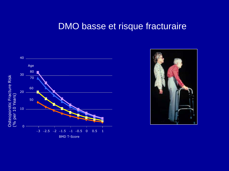### DMO basse et risque fracturaire



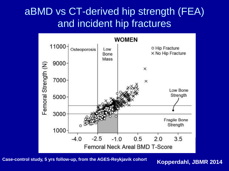### aBMD vs CT-derived hip strength (FEA) and incident hip fractures



**Kopperdahl, JBMR 2014 Case-control study, 5 yrs follow-up, from the AGES-Reykjavik cohort**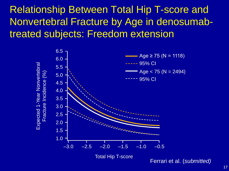Relationship Between Total Hip T-score and Nonvertebral Fracture by Age in denosumabtreated subjects: Freedom extension

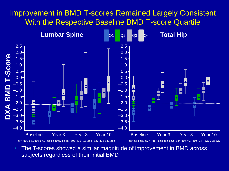#### Improvement in BMD T-scores Remained Largely Consistent With the Respective Baseline BMD T-score Quartile



• The T-scores showed a similar magnitude of improvement in BMD across subjects regardless of their initial BMD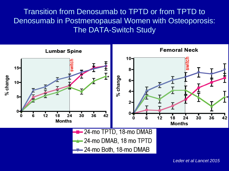Transition from Denosumab to TPTD or from TPTD to Denosumab in Postmenopausal Women with Osteoporosis: The DATA-Switch Study

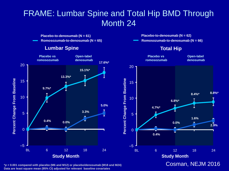### FRAME: Lumbar Spine and Total Hip BMD Through Month 24



**\****p* **< 0.001 compared with placebo (M6 and M12) or placebo/denosumab (M18 and M24) Data are least square mean (95% CI) adjusted for relevant baseline covariates**

#### Cosman, NEJM 2016